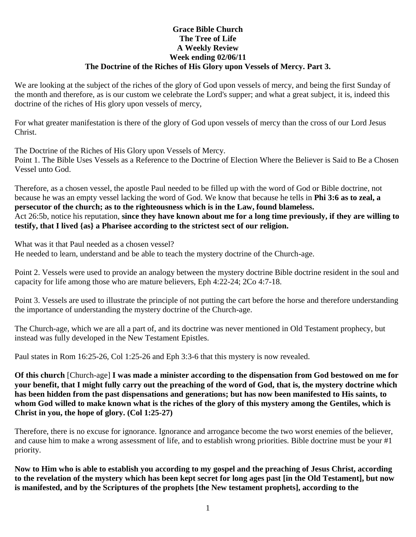### **Grace Bible Church The Tree of Life A Weekly Review Week ending 02/06/11 The Doctrine of the Riches of His Glory upon Vessels of Mercy. Part 3.**

We are looking at the subject of the riches of the glory of God upon vessels of mercy, and being the first Sunday of the month and therefore, as is our custom we celebrate the Lord's supper; and what a great subject, it is, indeed this doctrine of the riches of His glory upon vessels of mercy,

For what greater manifestation is there of the glory of God upon vessels of mercy than the cross of our Lord Jesus Christ.

The Doctrine of the Riches of His Glory upon Vessels of Mercy. Point 1. The Bible Uses Vessels as a Reference to the Doctrine of Election Where the Believer is Said to Be a Chosen Vessel unto God.

Therefore, as a chosen vessel, the apostle Paul needed to be filled up with the word of God or Bible doctrine, not because he was an empty vessel lacking the word of God. We know that because he tells in **Phi 3:6 as to zeal, a persecutor of the church; as to the righteousness which is in the Law, found blameless.** Act 26:5b, notice his reputation, **since they have known about me for a long time previously, if they are willing to testify, that I lived {as} a Pharisee according to the strictest sect of our religion.**

What was it that Paul needed as a chosen vessel? He needed to learn, understand and be able to teach the mystery doctrine of the Church-age.

Point 2. Vessels were used to provide an analogy between the mystery doctrine Bible doctrine resident in the soul and capacity for life among those who are mature believers, Eph 4:22-24; 2Co 4:7-18.

Point 3. Vessels are used to illustrate the principle of not putting the cart before the horse and therefore understanding the importance of understanding the mystery doctrine of the Church-age.

The Church-age, which we are all a part of, and its doctrine was never mentioned in Old Testament prophecy, but instead was fully developed in the New Testament Epistles.

Paul states in Rom 16:25-26, Col 1:25-26 and Eph 3:3-6 that this mystery is now revealed.

**Of this church** [Church-age] **I was made a minister according to the dispensation from God bestowed on me for your benefit, that I might fully carry out the preaching of the word of God, that is, the mystery doctrine which has been hidden from the past dispensations and generations; but has now been manifested to His saints, to whom God willed to make known what is the riches of the glory of this mystery among the Gentiles, which is Christ in you, the hope of glory. (Col 1:25-27)**

Therefore, there is no excuse for ignorance. Ignorance and arrogance become the two worst enemies of the believer, and cause him to make a wrong assessment of life, and to establish wrong priorities. Bible doctrine must be your #1 priority.

**Now to Him who is able to establish you according to my gospel and the preaching of Jesus Christ, according to the revelation of the mystery which has been kept secret for long ages past [in the Old Testament], but now is manifested, and by the Scriptures of the prophets [the New testament prophets], according to the**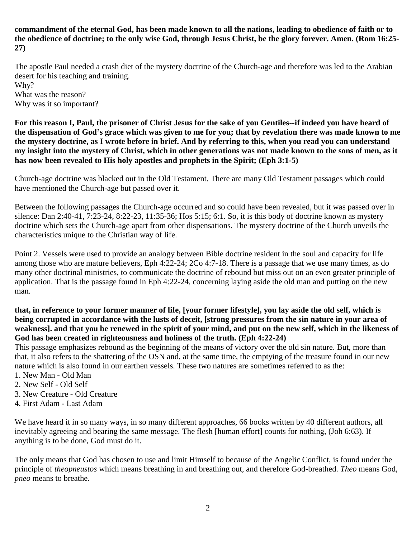**commandment of the eternal God, has been made known to all the nations, leading to obedience of faith or to the obedience of doctrine; to the only wise God, through Jesus Christ, be the glory forever. Amen. (Rom 16:25- 27)**

The apostle Paul needed a crash diet of the mystery doctrine of the Church-age and therefore was led to the Arabian desert for his teaching and training. Why?

What was the reason? Why was it so important?

**For this reason I, Paul, the prisoner of Christ Jesus for the sake of you Gentiles--if indeed you have heard of the dispensation of God's grace which was given to me for you; that by revelation there was made known to me the mystery doctrine, as I wrote before in brief. And by referring to this, when you read you can understand my insight into the mystery of Christ, which in other generations was not made known to the sons of men, as it has now been revealed to His holy apostles and prophets in the Spirit; (Eph 3:1-5)**

Church-age doctrine was blacked out in the Old Testament. There are many Old Testament passages which could have mentioned the Church-age but passed over it.

Between the following passages the Church-age occurred and so could have been revealed, but it was passed over in silence: Dan 2:40-41, 7:23-24, 8:22-23, 11:35-36; Hos 5:15; 6:1. So, it is this body of doctrine known as mystery doctrine which sets the Church-age apart from other dispensations. The mystery doctrine of the Church unveils the characteristics unique to the Christian way of life.

Point 2. Vessels were used to provide an analogy between Bible doctrine resident in the soul and capacity for life among those who are mature believers, Eph 4:22-24; 2Co 4:7-18. There is a passage that we use many times, as do many other doctrinal ministries, to communicate the doctrine of rebound but miss out on an even greater principle of application. That is the passage found in Eph 4:22-24, concerning laying aside the old man and putting on the new man.

#### **that, in reference to your former manner of life, [your former lifestyle], you lay aside the old self, which is being corrupted in accordance with the lusts of deceit, [strong pressures from the sin nature in your area of weakness]. and that you be renewed in the spirit of your mind, and put on the new self, which in the likeness of God has been created in righteousness and holiness of the truth. (Eph 4:22-24)**

This passage emphasizes rebound as the beginning of the means of victory over the old sin nature. But, more than that, it also refers to the shattering of the OSN and, at the same time, the emptying of the treasure found in our new nature which is also found in our earthen vessels. These two natures are sometimes referred to as the:

- 1. New Man Old Man
- 2. New Self Old Self
- 3. New Creature Old Creature
- 4. First Adam Last Adam

We have heard it in so many ways, in so many different approaches, 66 books written by 40 different authors, all inevitably agreeing and bearing the same message. The flesh [human effort] counts for nothing, (Joh 6:63). If anything is to be done, God must do it.

The only means that God has chosen to use and limit Himself to because of the Angelic Conflict, is found under the principle of *theopneustos* which means breathing in and breathing out, and therefore God-breathed. *Theo* means God, *pneo* means to breathe.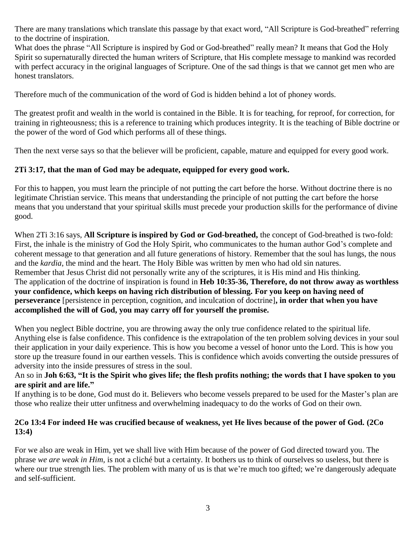There are many translations which translate this passage by that exact word, "All Scripture is God-breathed" referring to the doctrine of inspiration.

What does the phrase "All Scripture is inspired by God or God-breathed" really mean? It means that God the Holy Spirit so supernaturally directed the human writers of Scripture, that His complete message to mankind was recorded with perfect accuracy in the original languages of Scripture. One of the sad things is that we cannot get men who are honest translators.

Therefore much of the communication of the word of God is hidden behind a lot of phoney words.

The greatest profit and wealth in the world is contained in the Bible. It is for teaching, for reproof, for correction, for training in righteousness; this is a reference to training which produces integrity. It is the teaching of Bible doctrine or the power of the word of God which performs all of these things.

Then the next verse says so that the believer will be proficient, capable, mature and equipped for every good work.

# **2Ti 3:17, that the man of God may be adequate, equipped for every good work.**

For this to happen, you must learn the principle of not putting the cart before the horse. Without doctrine there is no legitimate Christian service. This means that understanding the principle of not putting the cart before the horse means that you understand that your spiritual skills must precede your production skills for the performance of divine good.

When 2Ti 3:16 says, **All Scripture is inspired by God or God-breathed,** the concept of God-breathed is two-fold: First, the inhale is the ministry of God the Holy Spirit, who communicates to the human author God's complete and coherent message to that generation and all future generations of history. Remember that the soul has lungs, the nous and the *kardia*, the mind and the heart. The Holy Bible was written by men who had old sin natures. Remember that Jesus Christ did not personally write any of the scriptures, it is His mind and His thinking. The application of the doctrine of inspiration is found in **Heb 10:35-36, Therefore, do not throw away as worthless your confidence, which keeps on having rich distribution of blessing. For you keep on having need of perseverance** [persistence in perception, cognition, and inculcation of doctrine]**, in order that when you have accomplished the will of God, you may carry off for yourself the promise.**

When you neglect Bible doctrine, you are throwing away the only true confidence related to the spiritual life. Anything else is false confidence. This confidence is the extrapolation of the ten problem solving devices in your soul their application in your daily experience. This is how you become a vessel of honor unto the Lord. This is how you store up the treasure found in our earthen vessels. This is confidence which avoids converting the outside pressures of adversity into the inside pressures of stress in the soul.

# An so in **Joh 6:63, "It is the Spirit who gives life; the flesh profits nothing; the words that I have spoken to you are spirit and are life."**

If anything is to be done, God must do it. Believers who become vessels prepared to be used for the Master's plan are those who realize their utter unfitness and overwhelming inadequacy to do the works of God on their own.

# **2Co 13:4 For indeed He was crucified because of weakness, yet He lives because of the power of God. (2Co 13:4)**

For we also are weak in Him, yet we shall live with Him because of the power of God directed toward you. The phrase *we are weak in Him,* is not a cliché but a certainty. It bothers us to think of ourselves so useless, but there is where our true strength lies. The problem with many of us is that we're much too gifted; we're dangerously adequate and self-sufficient.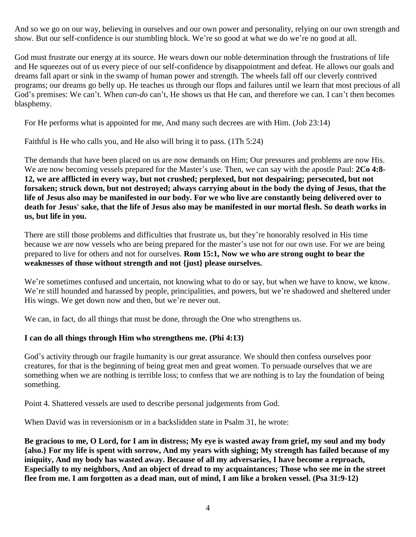And so we go on our way, believing in ourselves and our own power and personality, relying on our own strength and show. But our self-confidence is our stumbling block. We're so good at what we do we're no good at all.

God must frustrate our energy at its source. He wears down our noble determination through the frustrations of life and He squeezes out of us every piece of our self-confidence by disappointment and defeat. He allows our goals and dreams fall apart or sink in the swamp of human power and strength. The wheels fall off our cleverly contrived programs; our dreams go belly up. He teaches us through our flops and failures until we learn that most precious of all God's premises: We can't. When *can-do* can't, He shows us that He can, and therefore we can. I can't then becomes blasphemy.

For He performs what is appointed for me, And many such decrees are with Him. (Job 23:14)

Faithful is He who calls you, and He also will bring it to pass. (1Th 5:24)

The demands that have been placed on us are now demands on Him; Our pressures and problems are now His. We are now becoming vessels prepared for the Master's use. Then, we can say with the apostle Paul: **2Co 4:8- 12, we are afflicted in every way, but not crushed; perplexed, but not despairing; persecuted, but not forsaken; struck down, but not destroyed; always carrying about in the body the dying of Jesus, that the life of Jesus also may be manifested in our body. For we who live are constantly being delivered over to death for Jesus' sake, that the life of Jesus also may be manifested in our mortal flesh. So death works in us, but life in you.**

There are still those problems and difficulties that frustrate us, but they're honorably resolved in His time because we are now vessels who are being prepared for the master's use not for our own use. For we are being prepared to live for others and not for ourselves. **Rom 15:1, Now we who are strong ought to bear the weaknesses of those without strength and not {just} please ourselves.**

We're sometimes confused and uncertain, not knowing what to do or say, but when we have to know, we know. We're still hounded and harassed by people, principalities, and powers, but we're shadowed and sheltered under His wings. We get down now and then, but we're never out.

We can, in fact, do all things that must be done, through the One who strengthens us.

### **I can do all things through Him who strengthens me. (Phi 4:13)**

God's activity through our fragile humanity is our great assurance. We should then confess ourselves poor creatures, for that is the beginning of being great men and great women. To persuade ourselves that we are something when we are nothing is terrible loss; to confess that we are nothing is to lay the foundation of being something.

Point 4. Shattered vessels are used to describe personal judgements from God.

When David was in reversionism or in a backslidden state in Psalm 31, he wrote:

**Be gracious to me, O Lord, for I am in distress; My eye is wasted away from grief, my soul and my body {also.} For my life is spent with sorrow, And my years with sighing; My strength has failed because of my iniquity, And my body has wasted away. Because of all my adversaries, I have become a reproach, Especially to my neighbors, And an object of dread to my acquaintances; Those who see me in the street flee from me. I am forgotten as a dead man, out of mind, I am like a broken vessel. (Psa 31:9-12)**